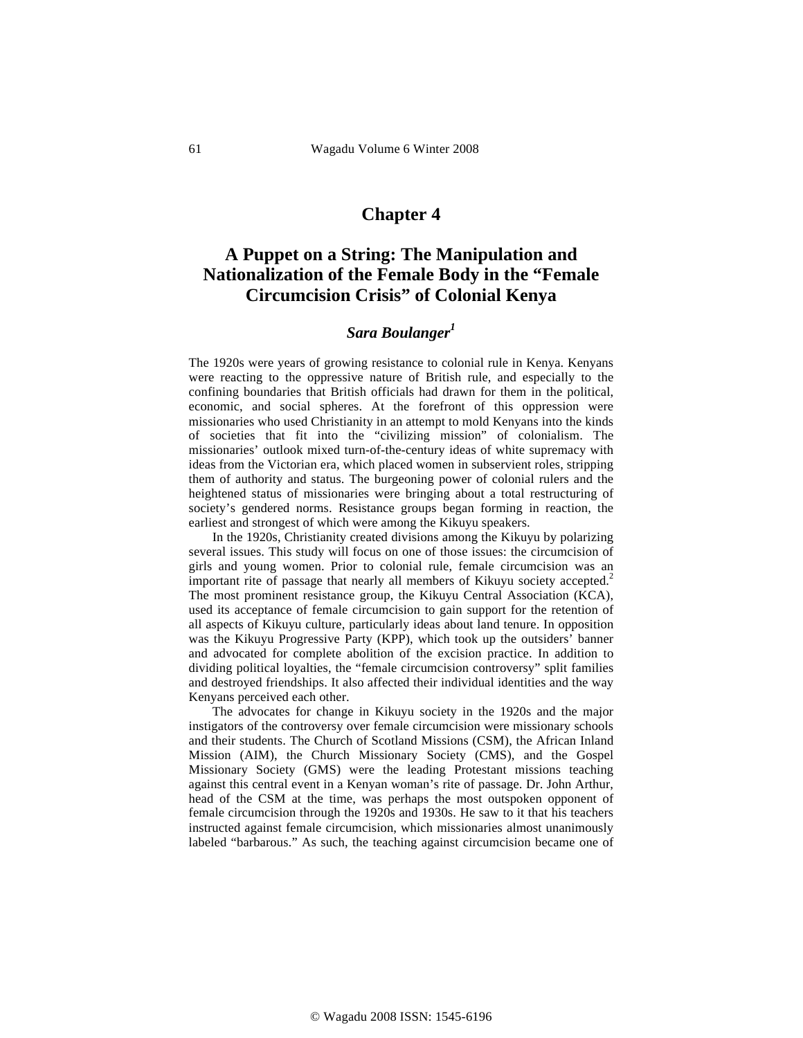## **Chapter 4**

# **A Puppet on a String: The Manipulation and Nationalization of the Female Body in the "Female Circumcision Crisis" of Colonial Kenya**

## *Sara Boulanger1*

The 1920s were years of growing resistance to colonial rule in Kenya. Kenyans were reacting to the oppressive nature of British rule, and especially to the confining boundaries that British officials had drawn for them in the political, economic, and social spheres. At the forefront of this oppression were missionaries who used Christianity in an attempt to mold Kenyans into the kinds of societies that fit into the "civilizing mission" of colonialism. The missionaries' outlook mixed turn-of-the-century ideas of white supremacy with ideas from the Victorian era, which placed women in subservient roles, stripping them of authority and status. The burgeoning power of colonial rulers and the heightened status of missionaries were bringing about a total restructuring of society's gendered norms. Resistance groups began forming in reaction, the earliest and strongest of which were among the Kikuyu speakers.

In the 1920s, Christianity created divisions among the Kikuyu by polarizing several issues. This study will focus on one of those issues: the circumcision of girls and young women. Prior to colonial rule, female circumcision was an important rite of passage that nearly all members of Kikuyu society accepted.<sup>2</sup> The most prominent resistance group, the Kikuyu Central Association (KCA), used its acceptance of female circumcision to gain support for the retention of all aspects of Kikuyu culture, particularly ideas about land tenure. In opposition was the Kikuyu Progressive Party (KPP), which took up the outsiders' banner and advocated for complete abolition of the excision practice. In addition to dividing political loyalties, the "female circumcision controversy" split families and destroyed friendships. It also affected their individual identities and the way Kenyans perceived each other.

The advocates for change in Kikuyu society in the 1920s and the major instigators of the controversy over female circumcision were missionary schools and their students. The Church of Scotland Missions (CSM), the African Inland Mission (AIM), the Church Missionary Society (CMS), and the Gospel Missionary Society (GMS) were the leading Protestant missions teaching against this central event in a Kenyan woman's rite of passage. Dr. John Arthur, head of the CSM at the time, was perhaps the most outspoken opponent of female circumcision through the 1920s and 1930s. He saw to it that his teachers instructed against female circumcision, which missionaries almost unanimously labeled "barbarous." As such, the teaching against circumcision became one of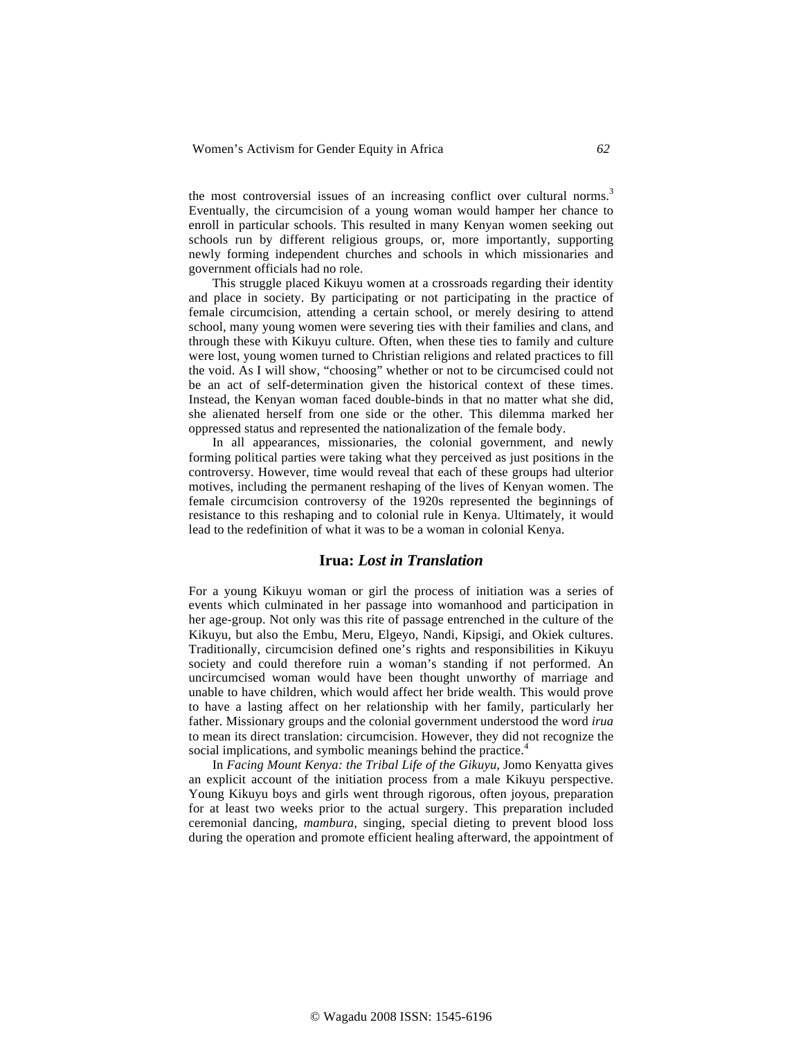the most controversial issues of an increasing conflict over cultural norms.<sup>3</sup> Eventually, the circumcision of a young woman would hamper her chance to enroll in particular schools. This resulted in many Kenyan women seeking out schools run by different religious groups, or, more importantly, supporting newly forming independent churches and schools in which missionaries and government officials had no role.

This struggle placed Kikuyu women at a crossroads regarding their identity and place in society. By participating or not participating in the practice of female circumcision, attending a certain school, or merely desiring to attend school, many young women were severing ties with their families and clans, and through these with Kikuyu culture. Often, when these ties to family and culture were lost, young women turned to Christian religions and related practices to fill the void. As I will show, "choosing" whether or not to be circumcised could not be an act of self-determination given the historical context of these times. Instead, the Kenyan woman faced double-binds in that no matter what she did, she alienated herself from one side or the other. This dilemma marked her oppressed status and represented the nationalization of the female body.

In all appearances, missionaries, the colonial government, and newly forming political parties were taking what they perceived as just positions in the controversy. However, time would reveal that each of these groups had ulterior motives, including the permanent reshaping of the lives of Kenyan women. The female circumcision controversy of the 1920s represented the beginnings of resistance to this reshaping and to colonial rule in Kenya. Ultimately, it would lead to the redefinition of what it was to be a woman in colonial Kenya.

### **Irua:** *Lost in Translation*

For a young Kikuyu woman or girl the process of initiation was a series of events which culminated in her passage into womanhood and participation in her age-group. Not only was this rite of passage entrenched in the culture of the Kikuyu, but also the Embu, Meru, Elgeyo, Nandi, Kipsigi, and Okiek cultures. Traditionally, circumcision defined one's rights and responsibilities in Kikuyu society and could therefore ruin a woman's standing if not performed. An uncircumcised woman would have been thought unworthy of marriage and unable to have children, which would affect her bride wealth. This would prove to have a lasting affect on her relationship with her family, particularly her father. Missionary groups and the colonial government understood the word *irua*  to mean its direct translation: circumcision. However, they did not recognize the social implications, and symbolic meanings behind the practice.<sup>4</sup>

In *Facing Mount Kenya: the Tribal Life of the Gikuyu,* Jomo Kenyatta gives an explicit account of the initiation process from a male Kikuyu perspective. Young Kikuyu boys and girls went through rigorous, often joyous, preparation for at least two weeks prior to the actual surgery. This preparation included ceremonial dancing, *mambura*, singing, special dieting to prevent blood loss during the operation and promote efficient healing afterward, the appointment of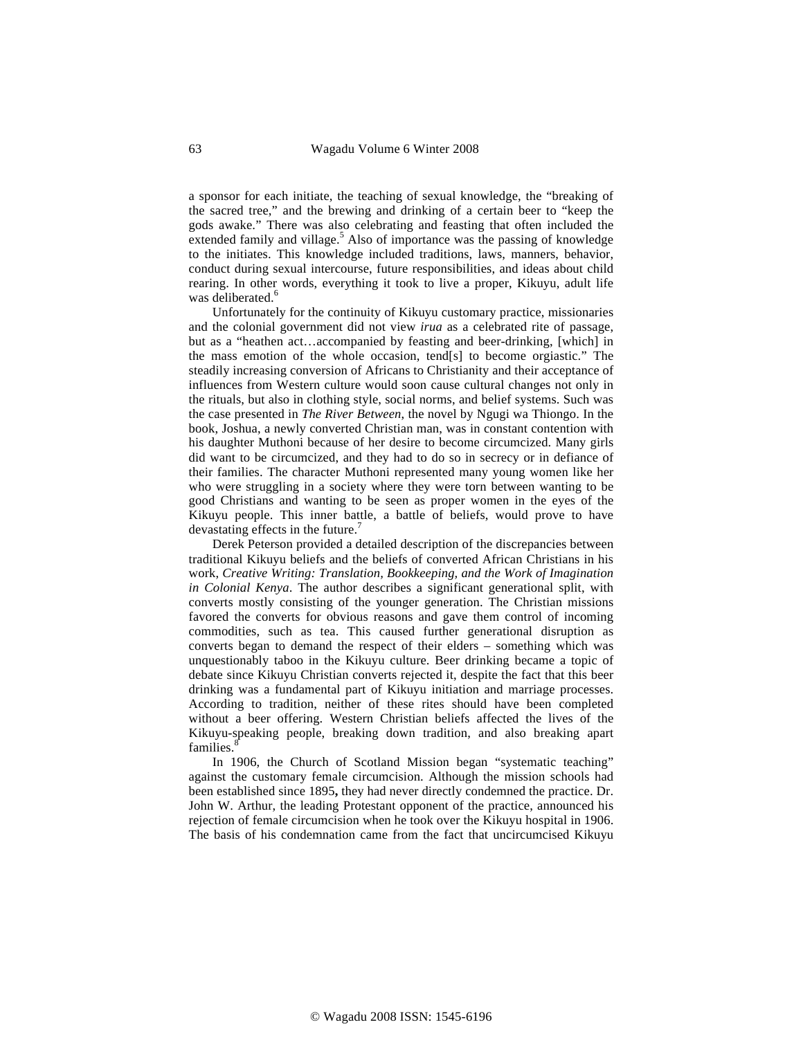a sponsor for each initiate, the teaching of sexual knowledge, the "breaking of the sacred tree," and the brewing and drinking of a certain beer to "keep the gods awake." There was also celebrating and feasting that often included the  $\epsilon$  extended family and village.<sup>5</sup> Also of importance was the passing of knowledge to the initiates. This knowledge included traditions, laws, manners, behavior, conduct during sexual intercourse, future responsibilities, and ideas about child rearing. In other words, everything it took to live a proper, Kikuyu, adult life was deliberated.<sup>6</sup>

Unfortunately for the continuity of Kikuyu customary practice, missionaries and the colonial government did not view *irua* as a celebrated rite of passage, but as a "heathen act…accompanied by feasting and beer-drinking, [which] in the mass emotion of the whole occasion, tend[s] to become orgiastic." The steadily increasing conversion of Africans to Christianity and their acceptance of influences from Western culture would soon cause cultural changes not only in the rituals, but also in clothing style, social norms, and belief systems. Such was the case presented in *The River Between*, the novel by Ngugi wa Thiongo. In the book, Joshua, a newly converted Christian man, was in constant contention with his daughter Muthoni because of her desire to become circumcized. Many girls did want to be circumcized, and they had to do so in secrecy or in defiance of their families. The character Muthoni represented many young women like her who were struggling in a society where they were torn between wanting to be good Christians and wanting to be seen as proper women in the eyes of the Kikuyu people. This inner battle, a battle of beliefs, would prove to have devastating effects in the future.

Derek Peterson provided a detailed description of the discrepancies between traditional Kikuyu beliefs and the beliefs of converted African Christians in his work, *Creative Writing: Translation, Bookkeeping, and the Work of Imagination in Colonial Kenya*. The author describes a significant generational split, with converts mostly consisting of the younger generation. The Christian missions favored the converts for obvious reasons and gave them control of incoming commodities, such as tea. This caused further generational disruption as converts began to demand the respect of their elders – something which was unquestionably taboo in the Kikuyu culture. Beer drinking became a topic of debate since Kikuyu Christian converts rejected it, despite the fact that this beer drinking was a fundamental part of Kikuyu initiation and marriage processes. According to tradition, neither of these rites should have been completed without a beer offering. Western Christian beliefs affected the lives of the Kikuyu-speaking people, breaking down tradition, and also breaking apart families.<sup>8</sup>

In 1906, the Church of Scotland Mission began "systematic teaching" against the customary female circumcision. Although the mission schools had been established since 1895**,** they had never directly condemned the practice. Dr. John W. Arthur, the leading Protestant opponent of the practice, announced his rejection of female circumcision when he took over the Kikuyu hospital in 1906. The basis of his condemnation came from the fact that uncircumcised Kikuyu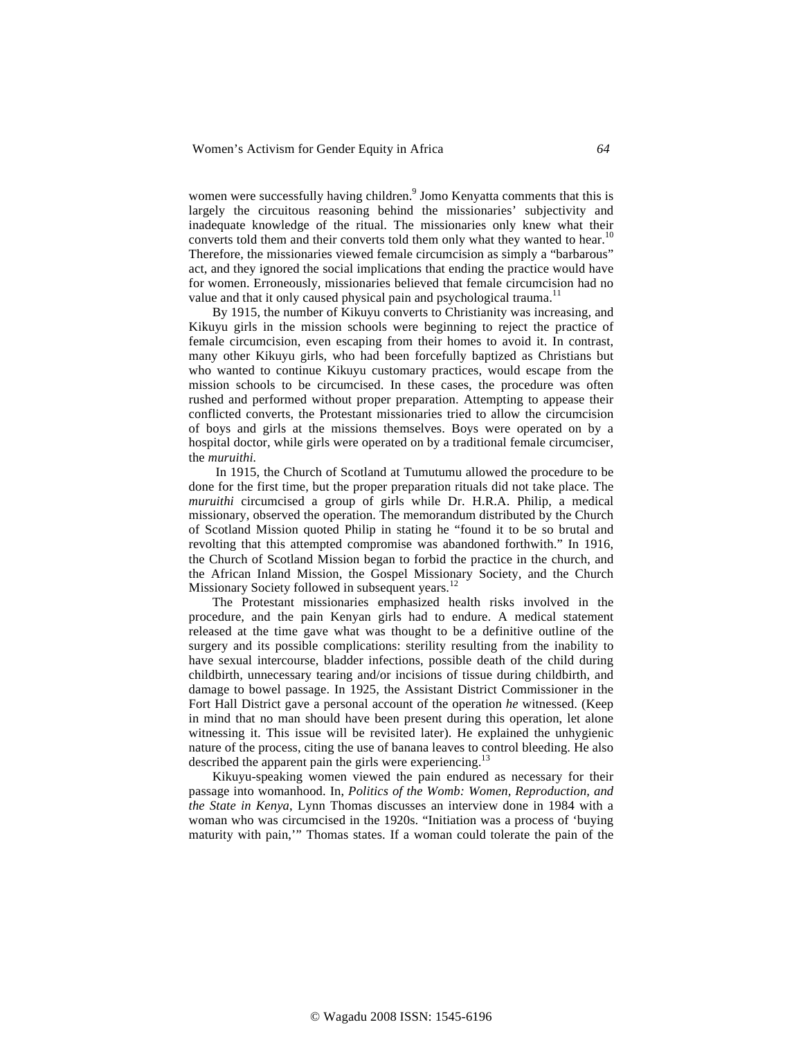women were successfully having children.<sup>9</sup> Jomo Kenyatta comments that this is largely the circuitous reasoning behind the missionaries' subjectivity and inadequate knowledge of the ritual. The missionaries only knew what their converts told them and their converts told them only what they wanted to hear.<sup>10</sup> Therefore, the missionaries viewed female circumcision as simply a "barbarous" act, and they ignored the social implications that ending the practice would have for women. Erroneously, missionaries believed that female circumcision had no value and that it only caused physical pain and psychological trauma.<sup>11</sup>

By 1915, the number of Kikuyu converts to Christianity was increasing, and Kikuyu girls in the mission schools were beginning to reject the practice of female circumcision, even escaping from their homes to avoid it. In contrast, many other Kikuyu girls, who had been forcefully baptized as Christians but who wanted to continue Kikuyu customary practices, would escape from the mission schools to be circumcised. In these cases, the procedure was often rushed and performed without proper preparation. Attempting to appease their conflicted converts, the Protestant missionaries tried to allow the circumcision of boys and girls at the missions themselves. Boys were operated on by a hospital doctor, while girls were operated on by a traditional female circumciser, the *muruithi.*

In 1915, the Church of Scotland at Tumutumu allowed the procedure to be done for the first time, but the proper preparation rituals did not take place. The *muruithi* circumcised a group of girls while Dr. H.R.A. Philip, a medical missionary, observed the operation. The memorandum distributed by the Church of Scotland Mission quoted Philip in stating he "found it to be so brutal and revolting that this attempted compromise was abandoned forthwith." In 1916, the Church of Scotland Mission began to forbid the practice in the church, and the African Inland Mission, the Gospel Missionary Society, and the Church Missionary Society followed in subsequent years.<sup>1</sup>

The Protestant missionaries emphasized health risks involved in the procedure, and the pain Kenyan girls had to endure. A medical statement released at the time gave what was thought to be a definitive outline of the surgery and its possible complications: sterility resulting from the inability to have sexual intercourse, bladder infections, possible death of the child during childbirth, unnecessary tearing and/or incisions of tissue during childbirth, and damage to bowel passage. In 1925, the Assistant District Commissioner in the Fort Hall District gave a personal account of the operation *he* witnessed. (Keep in mind that no man should have been present during this operation, let alone witnessing it. This issue will be revisited later). He explained the unhygienic nature of the process, citing the use of banana leaves to control bleeding. He also described the apparent pain the girls were experiencing.<sup>13</sup>

Kikuyu-speaking women viewed the pain endured as necessary for their passage into womanhood. In, *Politics of the Womb: Women, Reproduction, and the State in Kenya*, Lynn Thomas discusses an interview done in 1984 with a woman who was circumcised in the 1920s. "Initiation was a process of 'buying maturity with pain,'" Thomas states. If a woman could tolerate the pain of the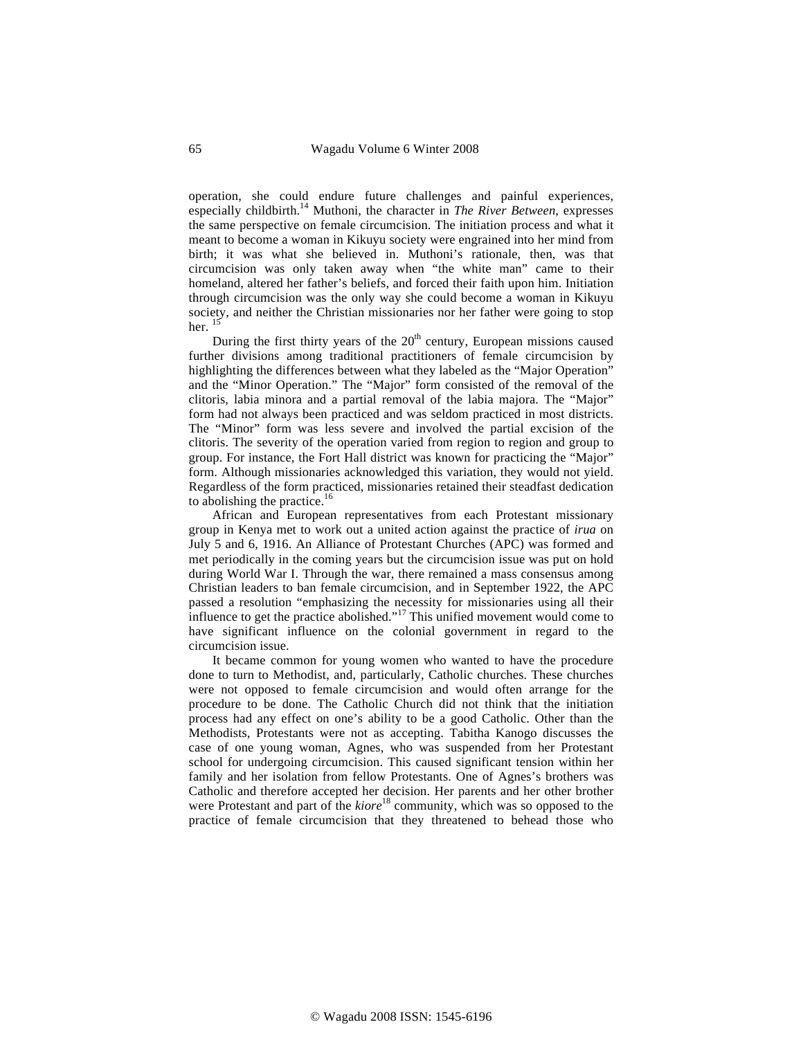operation, she could endure future challenges and painful experiences, especially childbirth.<sup>14</sup> Muthoni, the character in *The River Between*, expresses the same perspective on female circumcision. The initiation process and what it meant to become a woman in Kikuyu society were engrained into her mind from birth; it was what she believed in. Muthoni's rationale, then, was that circumcision was only taken away when "the white man" came to their homeland, altered her father's beliefs, and forced their faith upon him. Initiation through circumcision was the only way she could become a woman in Kikuyu society, and neither the Christian missionaries nor her father were going to stop her.  $15$ 

During the first thirty years of the  $20<sup>th</sup>$  century, European missions caused further divisions among traditional practitioners of female circumcision by highlighting the differences between what they labeled as the "Major Operation" and the "Minor Operation." The "Major" form consisted of the removal of the clitoris, labia minora and a partial removal of the labia majora. The "Major" form had not always been practiced and was seldom practiced in most districts. The "Minor" form was less severe and involved the partial excision of the clitoris. The severity of the operation varied from region to region and group to group. For instance, the Fort Hall district was known for practicing the "Major" form. Although missionaries acknowledged this variation, they would not yield. Regardless of the form practiced, missionaries retained their steadfast dedication to abolishing the practice.<sup>16</sup>

African and European representatives from each Protestant missionary group in Kenya met to work out a united action against the practice of *irua* on July 5 and 6, 1916. An Alliance of Protestant Churches (APC) was formed and met periodically in the coming years but the circumcision issue was put on hold during World War I. Through the war, there remained a mass consensus among Christian leaders to ban female circumcision, and in September 1922, the APC passed a resolution "emphasizing the necessity for missionaries using all their influence to get the practice abolished."<sup>17</sup> This unified movement would come to have significant influence on the colonial government in regard to the circumcision issue.

It became common for young women who wanted to have the procedure done to turn to Methodist, and, particularly, Catholic churches. These churches were not opposed to female circumcision and would often arrange for the procedure to be done. The Catholic Church did not think that the initiation process had any effect on one's ability to be a good Catholic. Other than the Methodists, Protestants were not as accepting. Tabitha Kanogo discusses the case of one young woman, Agnes, who was suspended from her Protestant school for undergoing circumcision. This caused significant tension within her family and her isolation from fellow Protestants. One of Agnes's brothers was Catholic and therefore accepted her decision. Her parents and her other brother were Protestant and part of the *kiore*<sup>18</sup> community, which was so opposed to the practice of female circumcision that they threatened to behead those who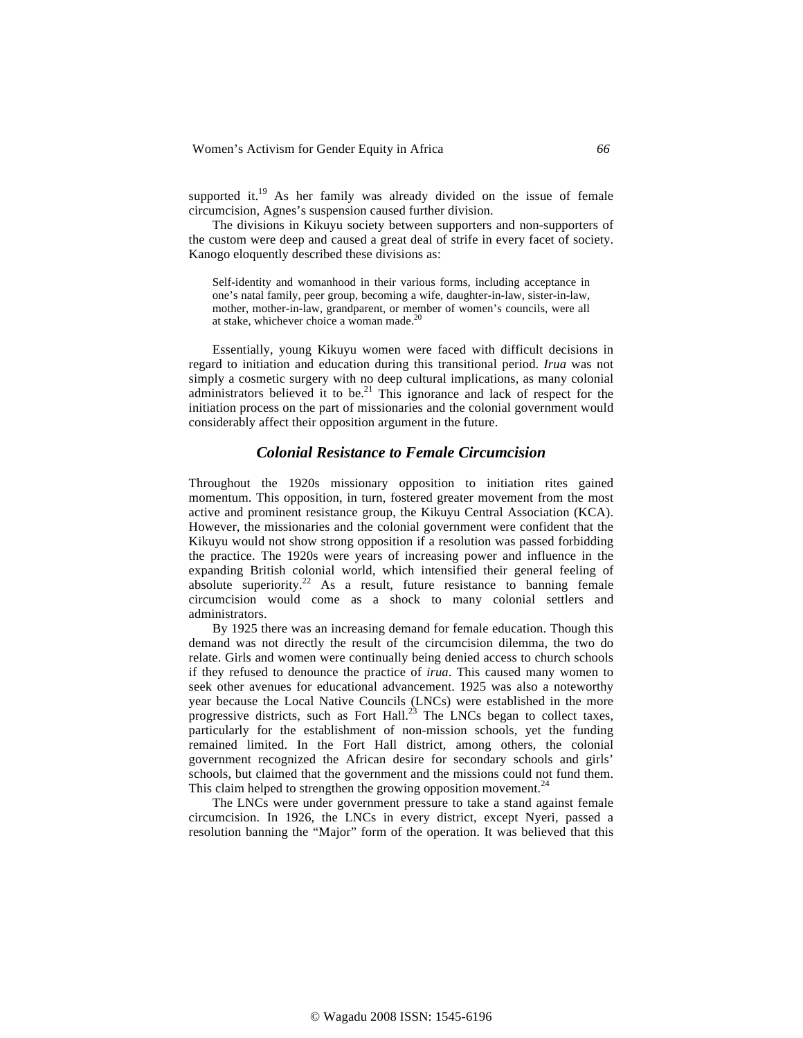supported it.<sup>19</sup> As her family was already divided on the issue of female circumcision, Agnes's suspension caused further division.

The divisions in Kikuyu society between supporters and non-supporters of the custom were deep and caused a great deal of strife in every facet of society. Kanogo eloquently described these divisions as:

Self-identity and womanhood in their various forms, including acceptance in one's natal family, peer group, becoming a wife, daughter-in-law, sister-in-law, mother, mother-in-law, grandparent, or member of women's councils, were all at stake, whichever choice a woman made.

Essentially, young Kikuyu women were faced with difficult decisions in regard to initiation and education during this transitional period. *Irua* was not simply a cosmetic surgery with no deep cultural implications, as many colonial administrators believed it to be.<sup>21</sup> This ignorance and lack of respect for the initiation process on the part of missionaries and the colonial government would considerably affect their opposition argument in the future.

## *Colonial Resistance to Female Circumcision*

Throughout the 1920s missionary opposition to initiation rites gained momentum. This opposition, in turn, fostered greater movement from the most active and prominent resistance group, the Kikuyu Central Association (KCA). However, the missionaries and the colonial government were confident that the Kikuyu would not show strong opposition if a resolution was passed forbidding the practice. The 1920s were years of increasing power and influence in the expanding British colonial world, which intensified their general feeling of absolute superiority.<sup>22</sup> As a result, future resistance to banning female circumcision would come as a shock to many colonial settlers and administrators.

By 1925 there was an increasing demand for female education. Though this demand was not directly the result of the circumcision dilemma, the two do relate. Girls and women were continually being denied access to church schools if they refused to denounce the practice of *irua*. This caused many women to seek other avenues for educational advancement. 1925 was also a noteworthy year because the Local Native Councils (LNCs) were established in the more progressive districts, such as Fort Hall.<sup>23</sup> The LNCs began to collect taxes, particularly for the establishment of non-mission schools, yet the funding remained limited. In the Fort Hall district, among others, the colonial government recognized the African desire for secondary schools and girls' schools, but claimed that the government and the missions could not fund them. This claim helped to strengthen the growing opposition movement.<sup>24</sup>

The LNCs were under government pressure to take a stand against female circumcision. In 1926, the LNCs in every district, except Nyeri, passed a resolution banning the "Major" form of the operation. It was believed that this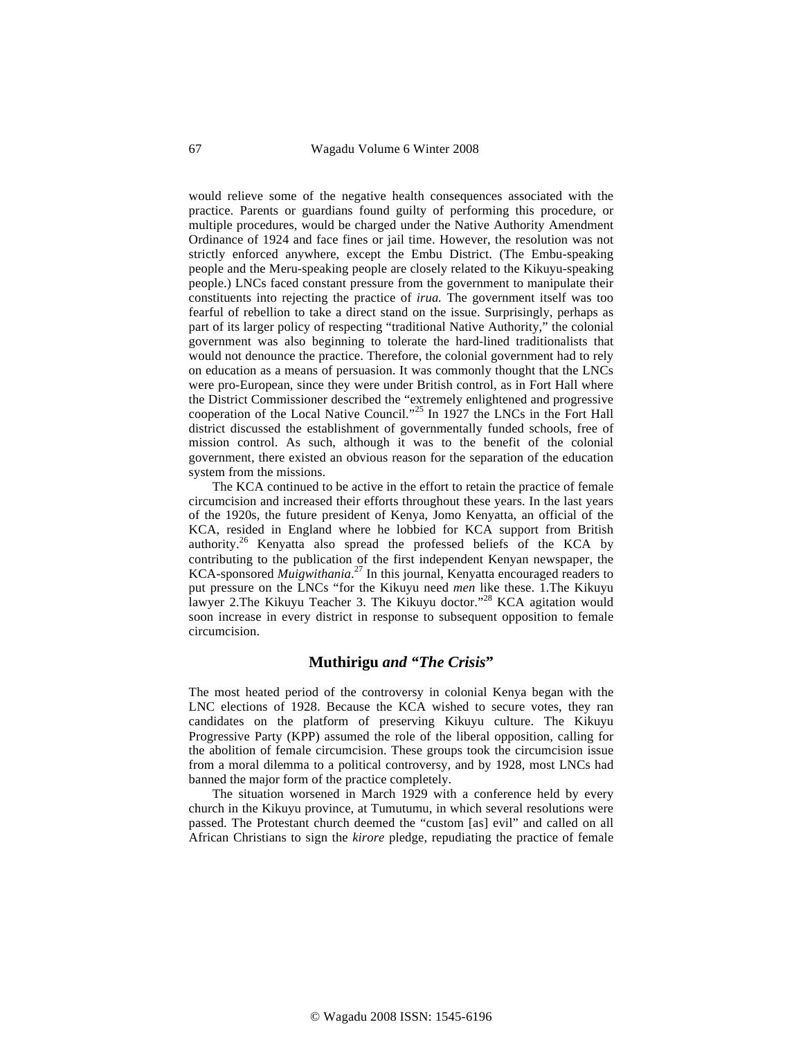would relieve some of the negative health consequences associated with the practice. Parents or guardians found guilty of performing this procedure, or multiple procedures, would be charged under the Native Authority Amendment Ordinance of 1924 and face fines or jail time. However, the resolution was not strictly enforced anywhere, except the Embu District. (The Embu-speaking people and the Meru-speaking people are closely related to the Kikuyu-speaking people.) LNCs faced constant pressure from the government to manipulate their constituents into rejecting the practice of *irua.* The government itself was too fearful of rebellion to take a direct stand on the issue. Surprisingly, perhaps as part of its larger policy of respecting "traditional Native Authority," the colonial government was also beginning to tolerate the hard-lined traditionalists that would not denounce the practice. Therefore, the colonial government had to rely on education as a means of persuasion. It was commonly thought that the LNCs were pro-European, since they were under British control, as in Fort Hall where the District Commissioner described the "extremely enlightened and progressive cooperation of the Local Native Council."25 In 1927 the LNCs in the Fort Hall district discussed the establishment of governmentally funded schools, free of mission control. As such, although it was to the benefit of the colonial government, there existed an obvious reason for the separation of the education system from the missions.

The KCA continued to be active in the effort to retain the practice of female circumcision and increased their efforts throughout these years. In the last years of the 1920s, the future president of Kenya, Jomo Kenyatta, an official of the KCA, resided in England where he lobbied for KCA support from British authority.26 Kenyatta also spread the professed beliefs of the KCA by contributing to the publication of the first independent Kenyan newspaper, the KCA-sponsored *Muigwithania*. 27 In this journal, Kenyatta encouraged readers to put pressure on the LNCs "for the Kikuyu need *men* like these. 1.The Kikuyu lawyer 2.The Kikuyu Teacher 3. The Kikuyu doctor."<sup>28</sup> KCA agitation would soon increase in every district in response to subsequent opposition to female circumcision.

## **Muthirigu** *and "The Crisis***"**

The most heated period of the controversy in colonial Kenya began with the LNC elections of 1928. Because the KCA wished to secure votes, they ran candidates on the platform of preserving Kikuyu culture. The Kikuyu Progressive Party (KPP) assumed the role of the liberal opposition, calling for the abolition of female circumcision. These groups took the circumcision issue from a moral dilemma to a political controversy, and by 1928, most LNCs had banned the major form of the practice completely.

The situation worsened in March 1929 with a conference held by every church in the Kikuyu province, at Tumutumu, in which several resolutions were passed. The Protestant church deemed the "custom [as] evil" and called on all African Christians to sign the *kirore* pledge, repudiating the practice of female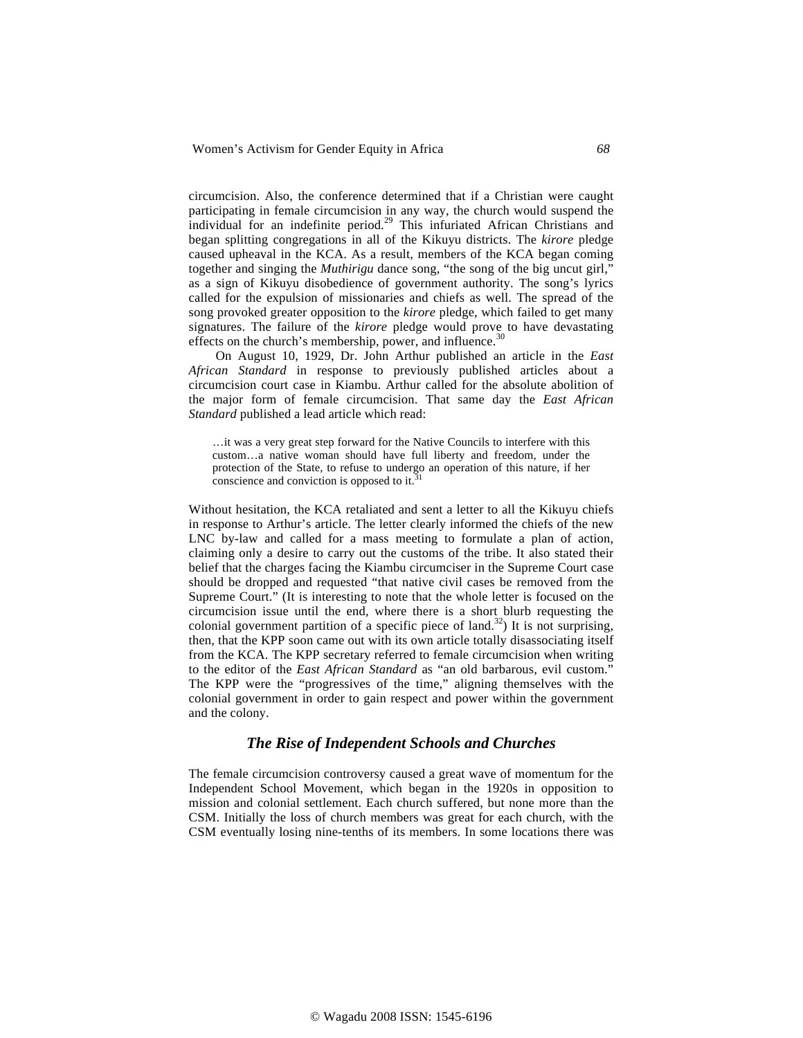circumcision. Also, the conference determined that if a Christian were caught participating in female circumcision in any way, the church would suspend the individual for an indefinite period.<sup>29</sup> This infuriated African Christians and began splitting congregations in all of the Kikuyu districts. The *kirore* pledge caused upheaval in the KCA. As a result, members of the KCA began coming together and singing the *Muthirigu* dance song, "the song of the big uncut girl," as a sign of Kikuyu disobedience of government authority. The song's lyrics called for the expulsion of missionaries and chiefs as well. The spread of the song provoked greater opposition to the *kirore* pledge, which failed to get many signatures. The failure of the *kirore* pledge would prove to have devastating effects on the church's membership, power, and influence.<sup>3</sup>

 On August 10, 1929, Dr. John Arthur published an article in the *East African Standard* in response to previously published articles about a circumcision court case in Kiambu. Arthur called for the absolute abolition of the major form of female circumcision. That same day the *East African Standard* published a lead article which read:

…it was a very great step forward for the Native Councils to interfere with this custom…a native woman should have full liberty and freedom, under the protection of the State, to refuse to undergo an operation of this nature, if her conscience and conviction is opposed to it. $\frac{3}{10}$ 

Without hesitation, the KCA retaliated and sent a letter to all the Kikuyu chiefs in response to Arthur's article. The letter clearly informed the chiefs of the new LNC by-law and called for a mass meeting to formulate a plan of action, claiming only a desire to carry out the customs of the tribe. It also stated their belief that the charges facing the Kiambu circumciser in the Supreme Court case should be dropped and requested "that native civil cases be removed from the Supreme Court." (It is interesting to note that the whole letter is focused on the circumcision issue until the end, where there is a short blurb requesting the colonial government partition of a specific piece of land.<sup>32</sup>) It is not surprising, then, that the KPP soon came out with its own article totally disassociating itself from the KCA. The KPP secretary referred to female circumcision when writing to the editor of the *East African Standard* as "an old barbarous, evil custom." The KPP were the "progressives of the time," aligning themselves with the colonial government in order to gain respect and power within the government and the colony.

## *The Rise of Independent Schools and Churches*

The female circumcision controversy caused a great wave of momentum for the Independent School Movement, which began in the 1920s in opposition to mission and colonial settlement. Each church suffered, but none more than the CSM. Initially the loss of church members was great for each church, with the CSM eventually losing nine-tenths of its members. In some locations there was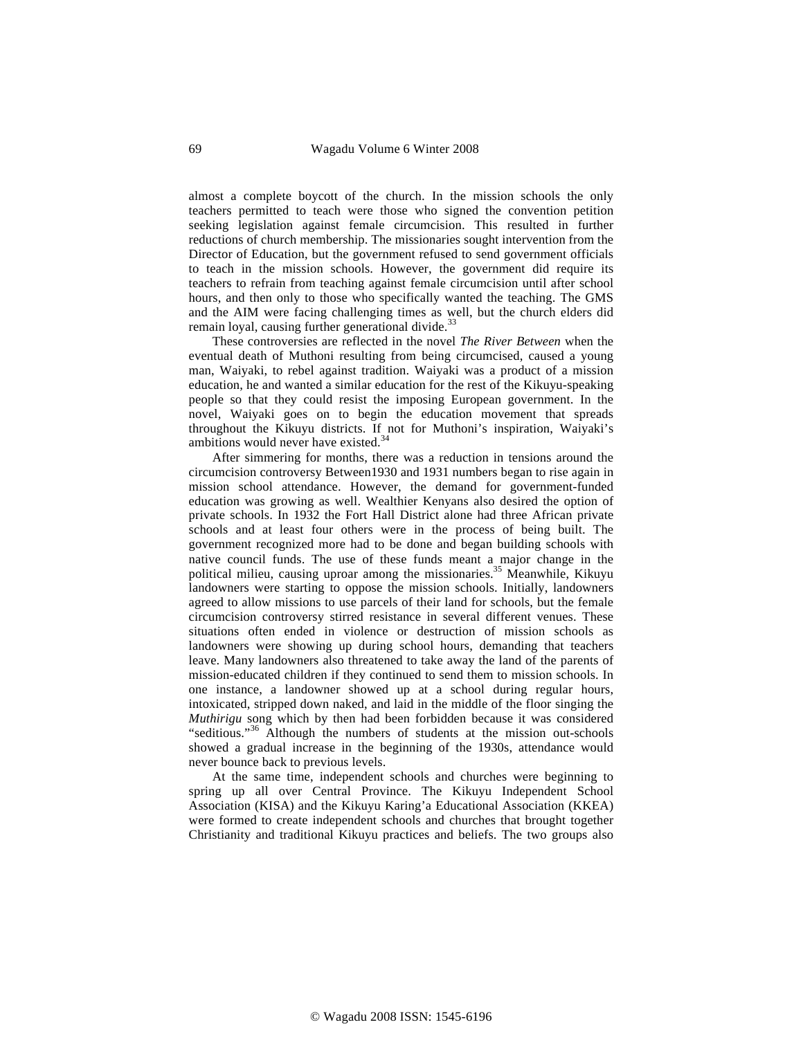almost a complete boycott of the church. In the mission schools the only teachers permitted to teach were those who signed the convention petition seeking legislation against female circumcision. This resulted in further reductions of church membership. The missionaries sought intervention from the Director of Education, but the government refused to send government officials to teach in the mission schools. However, the government did require its teachers to refrain from teaching against female circumcision until after school hours, and then only to those who specifically wanted the teaching. The GMS and the AIM were facing challenging times as well, but the church elders did remain loyal, causing further generational divide.<sup>33</sup>

These controversies are reflected in the novel *The River Between* when the eventual death of Muthoni resulting from being circumcised, caused a young man, Waiyaki, to rebel against tradition. Waiyaki was a product of a mission education, he and wanted a similar education for the rest of the Kikuyu-speaking people so that they could resist the imposing European government. In the novel, Waiyaki goes on to begin the education movement that spreads throughout the Kikuyu districts. If not for Muthoni's inspiration, Waiyaki's ambitions would never have existed.<sup>34</sup>

After simmering for months, there was a reduction in tensions around the circumcision controversy Between1930 and 1931 numbers began to rise again in mission school attendance. However, the demand for government-funded education was growing as well. Wealthier Kenyans also desired the option of private schools. In 1932 the Fort Hall District alone had three African private schools and at least four others were in the process of being built. The government recognized more had to be done and began building schools with native council funds. The use of these funds meant a major change in the political milieu, causing uproar among the missionaries.<sup>35</sup> Meanwhile, Kikuyu landowners were starting to oppose the mission schools. Initially, landowners agreed to allow missions to use parcels of their land for schools, but the female circumcision controversy stirred resistance in several different venues. These situations often ended in violence or destruction of mission schools as landowners were showing up during school hours, demanding that teachers leave. Many landowners also threatened to take away the land of the parents of mission-educated children if they continued to send them to mission schools. In one instance, a landowner showed up at a school during regular hours, intoxicated, stripped down naked, and laid in the middle of the floor singing the *Muthirigu* song which by then had been forbidden because it was considered "seditious."36 Although the numbers of students at the mission out-schools showed a gradual increase in the beginning of the 1930s, attendance would never bounce back to previous levels.

At the same time, independent schools and churches were beginning to spring up all over Central Province. The Kikuyu Independent School Association (KISA) and the Kikuyu Karing'a Educational Association (KKEA) were formed to create independent schools and churches that brought together Christianity and traditional Kikuyu practices and beliefs. The two groups also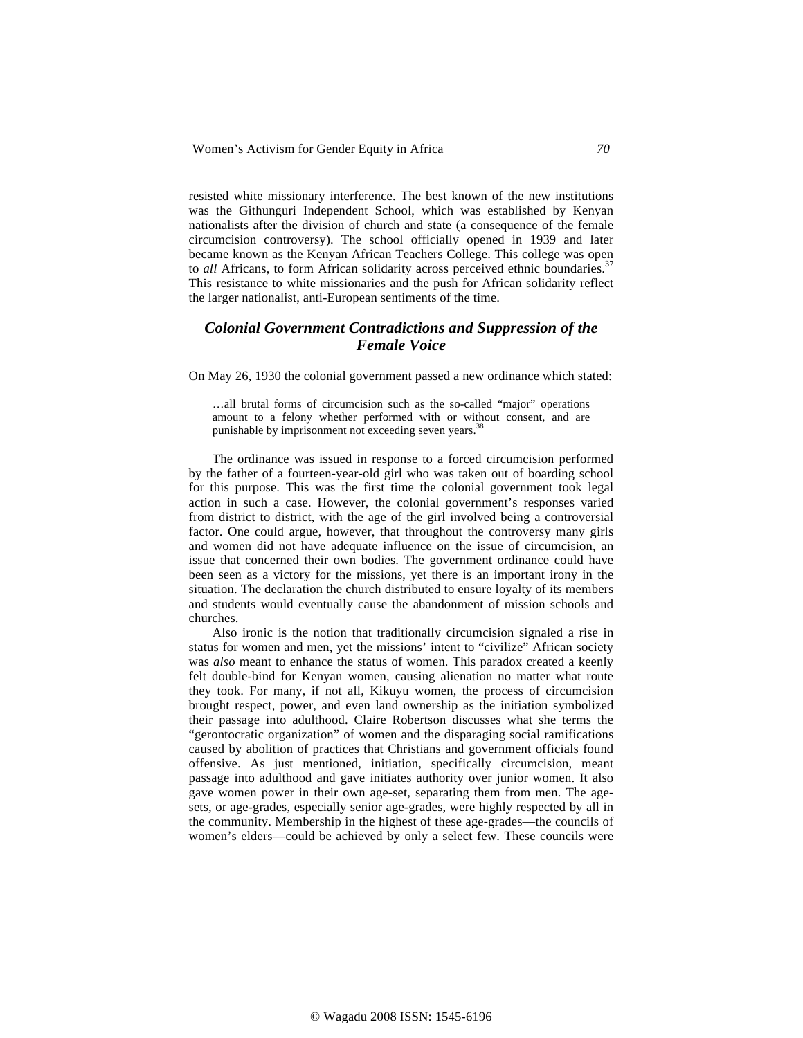resisted white missionary interference. The best known of the new institutions was the Githunguri Independent School, which was established by Kenyan nationalists after the division of church and state (a consequence of the female circumcision controversy). The school officially opened in 1939 and later became known as the Kenyan African Teachers College. This college was open to *all* Africans, to form African solidarity across perceived ethnic boundaries.<sup>37</sup> This resistance to white missionaries and the push for African solidarity reflect the larger nationalist, anti-European sentiments of the time.

## *Colonial Government Contradictions and Suppression of the Female Voice*

On May 26, 1930 the colonial government passed a new ordinance which stated:

…all brutal forms of circumcision such as the so-called "major" operations amount to a felony whether performed with or without consent, and are punishable by imprisonment not exceeding seven years.<sup>38</sup>

The ordinance was issued in response to a forced circumcision performed by the father of a fourteen-year-old girl who was taken out of boarding school for this purpose. This was the first time the colonial government took legal action in such a case. However, the colonial government's responses varied from district to district, with the age of the girl involved being a controversial factor. One could argue, however, that throughout the controversy many girls and women did not have adequate influence on the issue of circumcision, an issue that concerned their own bodies. The government ordinance could have been seen as a victory for the missions, yet there is an important irony in the situation. The declaration the church distributed to ensure loyalty of its members and students would eventually cause the abandonment of mission schools and churches.

Also ironic is the notion that traditionally circumcision signaled a rise in status for women and men, yet the missions' intent to "civilize" African society was *also* meant to enhance the status of women. This paradox created a keenly felt double-bind for Kenyan women, causing alienation no matter what route they took. For many, if not all, Kikuyu women, the process of circumcision brought respect, power, and even land ownership as the initiation symbolized their passage into adulthood. Claire Robertson discusses what she terms the "gerontocratic organization" of women and the disparaging social ramifications caused by abolition of practices that Christians and government officials found offensive. As just mentioned, initiation, specifically circumcision, meant passage into adulthood and gave initiates authority over junior women. It also gave women power in their own age-set, separating them from men. The agesets, or age-grades, especially senior age-grades, were highly respected by all in the community. Membership in the highest of these age-grades—the councils of women's elders—could be achieved by only a select few. These councils were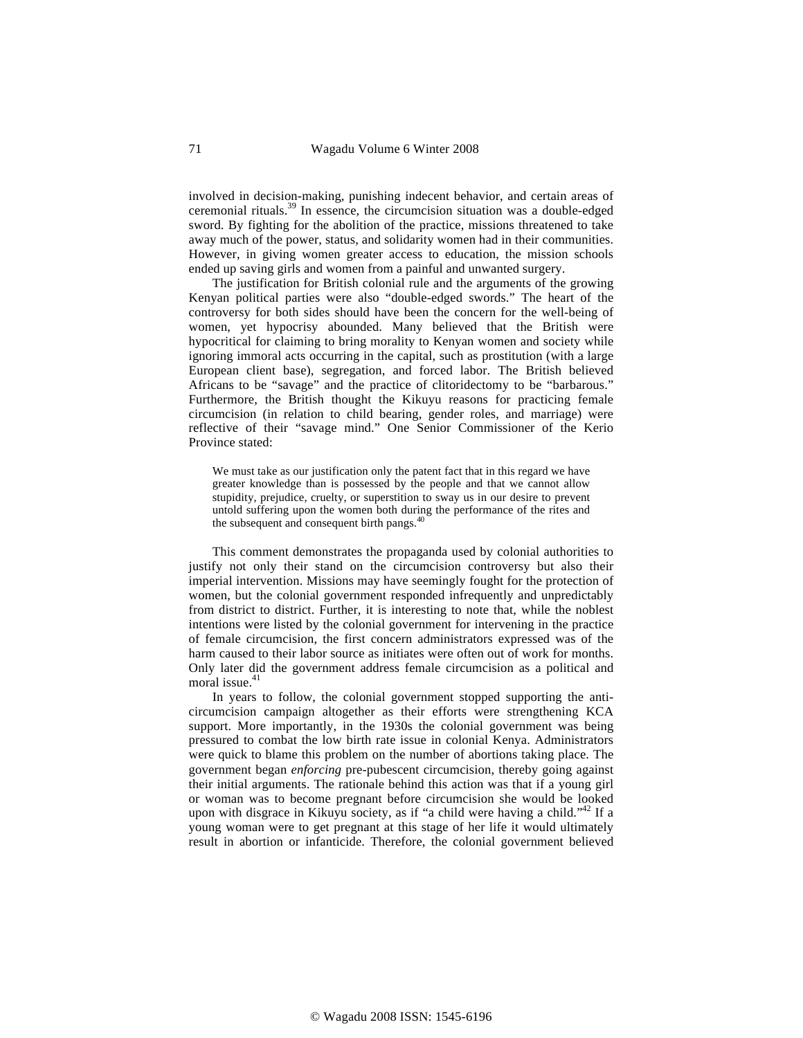involved in decision-making, punishing indecent behavior, and certain areas of ceremonial rituals.39 In essence, the circumcision situation was a double-edged sword. By fighting for the abolition of the practice, missions threatened to take away much of the power, status, and solidarity women had in their communities. However, in giving women greater access to education, the mission schools ended up saving girls and women from a painful and unwanted surgery.

The justification for British colonial rule and the arguments of the growing Kenyan political parties were also "double-edged swords." The heart of the controversy for both sides should have been the concern for the well-being of women, yet hypocrisy abounded. Many believed that the British were hypocritical for claiming to bring morality to Kenyan women and society while ignoring immoral acts occurring in the capital, such as prostitution (with a large European client base), segregation, and forced labor. The British believed Africans to be "savage" and the practice of clitoridectomy to be "barbarous." Furthermore, the British thought the Kikuyu reasons for practicing female circumcision (in relation to child bearing, gender roles, and marriage) were reflective of their "savage mind." One Senior Commissioner of the Kerio Province stated:

We must take as our justification only the patent fact that in this regard we have greater knowledge than is possessed by the people and that we cannot allow stupidity, prejudice, cruelty, or superstition to sway us in our desire to prevent untold suffering upon the women both during the performance of the rites and the subsequent and consequent birth pangs. $40$ 

This comment demonstrates the propaganda used by colonial authorities to justify not only their stand on the circumcision controversy but also their imperial intervention. Missions may have seemingly fought for the protection of women, but the colonial government responded infrequently and unpredictably from district to district. Further, it is interesting to note that, while the noblest intentions were listed by the colonial government for intervening in the practice of female circumcision, the first concern administrators expressed was of the harm caused to their labor source as initiates were often out of work for months. Only later did the government address female circumcision as a political and moral issue. $41$ 

In years to follow, the colonial government stopped supporting the anticircumcision campaign altogether as their efforts were strengthening KCA support. More importantly, in the 1930s the colonial government was being pressured to combat the low birth rate issue in colonial Kenya. Administrators were quick to blame this problem on the number of abortions taking place. The government began *enforcing* pre-pubescent circumcision, thereby going against their initial arguments. The rationale behind this action was that if a young girl or woman was to become pregnant before circumcision she would be looked upon with disgrace in Kikuyu society, as if "a child were having a child."<sup>42</sup> If a young woman were to get pregnant at this stage of her life it would ultimately result in abortion or infanticide. Therefore, the colonial government believed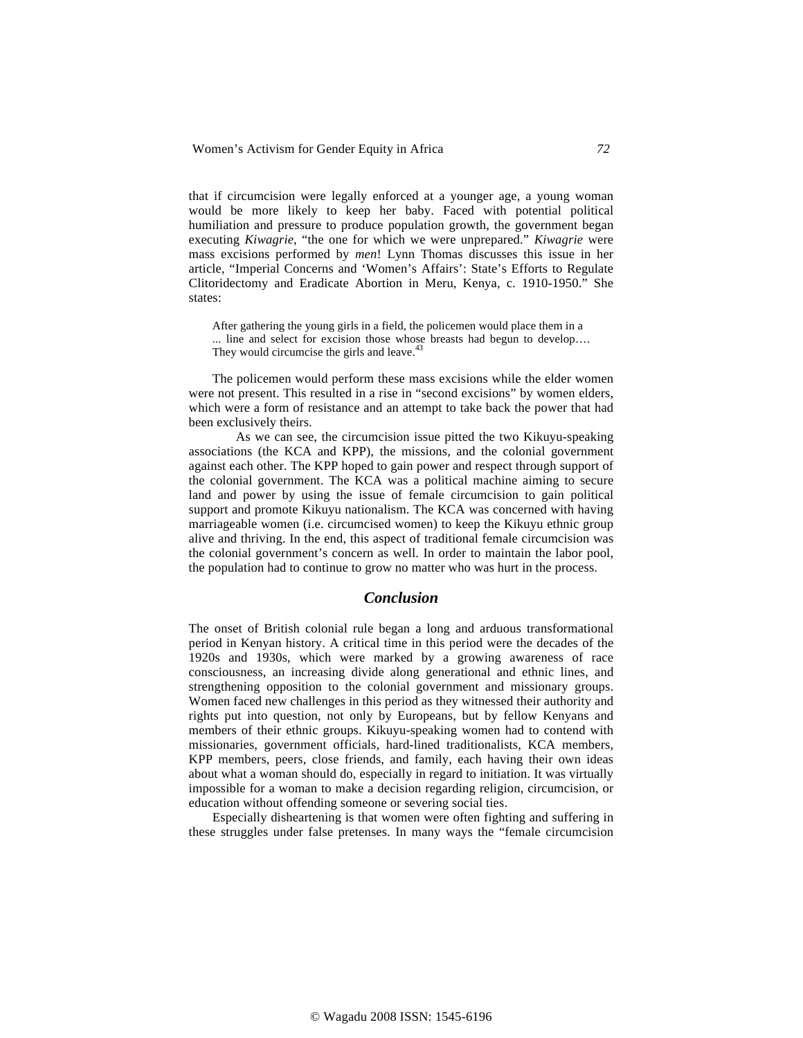that if circumcision were legally enforced at a younger age, a young woman would be more likely to keep her baby. Faced with potential political humiliation and pressure to produce population growth, the government began executing *Kiwagrie*, "the one for which we were unprepared." *Kiwagrie* were mass excisions performed by *men*! Lynn Thomas discusses this issue in her article, "Imperial Concerns and 'Women's Affairs': State's Efforts to Regulate Clitoridectomy and Eradicate Abortion in Meru, Kenya, c. 1910-1950." She states:

After gathering the young girls in a field, the policemen would place them in a ... line and select for excision those whose breasts had begun to develop…. They would circumcise the girls and leave.<sup>4</sup>

The policemen would perform these mass excisions while the elder women were not present. This resulted in a rise in "second excisions" by women elders, which were a form of resistance and an attempt to take back the power that had been exclusively theirs.

 As we can see, the circumcision issue pitted the two Kikuyu-speaking associations (the KCA and KPP), the missions, and the colonial government against each other. The KPP hoped to gain power and respect through support of the colonial government. The KCA was a political machine aiming to secure land and power by using the issue of female circumcision to gain political support and promote Kikuyu nationalism. The KCA was concerned with having marriageable women (i.e. circumcised women) to keep the Kikuyu ethnic group alive and thriving. In the end, this aspect of traditional female circumcision was the colonial government's concern as well. In order to maintain the labor pool, the population had to continue to grow no matter who was hurt in the process.

#### *Conclusion*

The onset of British colonial rule began a long and arduous transformational period in Kenyan history. A critical time in this period were the decades of the 1920s and 1930s, which were marked by a growing awareness of race consciousness, an increasing divide along generational and ethnic lines, and strengthening opposition to the colonial government and missionary groups. Women faced new challenges in this period as they witnessed their authority and rights put into question, not only by Europeans, but by fellow Kenyans and members of their ethnic groups. Kikuyu-speaking women had to contend with missionaries, government officials, hard-lined traditionalists, KCA members, KPP members, peers, close friends, and family, each having their own ideas about what a woman should do, especially in regard to initiation. It was virtually impossible for a woman to make a decision regarding religion, circumcision, or education without offending someone or severing social ties.

Especially disheartening is that women were often fighting and suffering in these struggles under false pretenses. In many ways the "female circumcision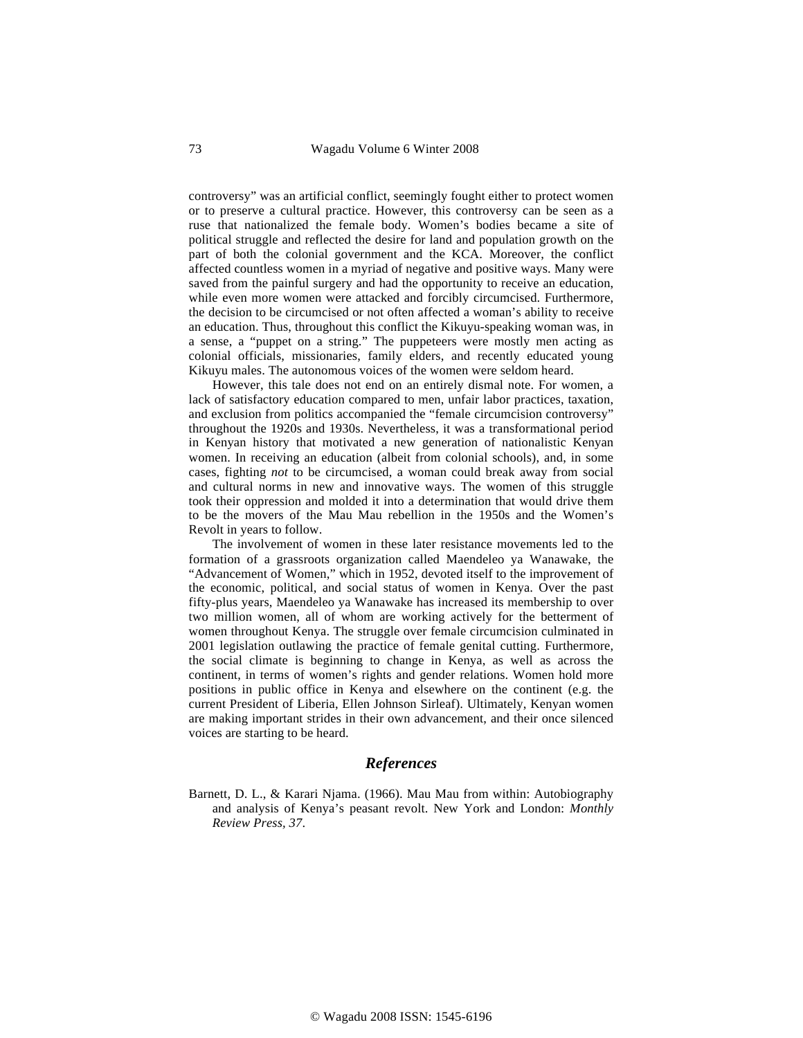controversy" was an artificial conflict, seemingly fought either to protect women or to preserve a cultural practice. However, this controversy can be seen as a ruse that nationalized the female body. Women's bodies became a site of political struggle and reflected the desire for land and population growth on the part of both the colonial government and the KCA. Moreover, the conflict affected countless women in a myriad of negative and positive ways. Many were saved from the painful surgery and had the opportunity to receive an education, while even more women were attacked and forcibly circumcised. Furthermore, the decision to be circumcised or not often affected a woman's ability to receive an education. Thus, throughout this conflict the Kikuyu-speaking woman was, in a sense, a "puppet on a string." The puppeteers were mostly men acting as colonial officials, missionaries, family elders, and recently educated young Kikuyu males. The autonomous voices of the women were seldom heard.

However, this tale does not end on an entirely dismal note. For women, a lack of satisfactory education compared to men, unfair labor practices, taxation, and exclusion from politics accompanied the "female circumcision controversy" throughout the 1920s and 1930s. Nevertheless, it was a transformational period in Kenyan history that motivated a new generation of nationalistic Kenyan women. In receiving an education (albeit from colonial schools), and, in some cases, fighting *not* to be circumcised, a woman could break away from social and cultural norms in new and innovative ways. The women of this struggle took their oppression and molded it into a determination that would drive them to be the movers of the Mau Mau rebellion in the 1950s and the Women's Revolt in years to follow.

The involvement of women in these later resistance movements led to the formation of a grassroots organization called Maendeleo ya Wanawake, the "Advancement of Women," which in 1952, devoted itself to the improvement of the economic, political, and social status of women in Kenya. Over the past fifty-plus years, Maendeleo ya Wanawake has increased its membership to over two million women, all of whom are working actively for the betterment of women throughout Kenya. The struggle over female circumcision culminated in 2001 legislation outlawing the practice of female genital cutting. Furthermore, the social climate is beginning to change in Kenya, as well as across the continent, in terms of women's rights and gender relations. Women hold more positions in public office in Kenya and elsewhere on the continent (e.g. the current President of Liberia, Ellen Johnson Sirleaf). Ultimately, Kenyan women are making important strides in their own advancement, and their once silenced voices are starting to be heard.

## *References*

Barnett, D. L., & Karari Njama. (1966). Mau Mau from within: Autobiography and analysis of Kenya's peasant revolt. New York and London: *Monthly Review Press, 37*.